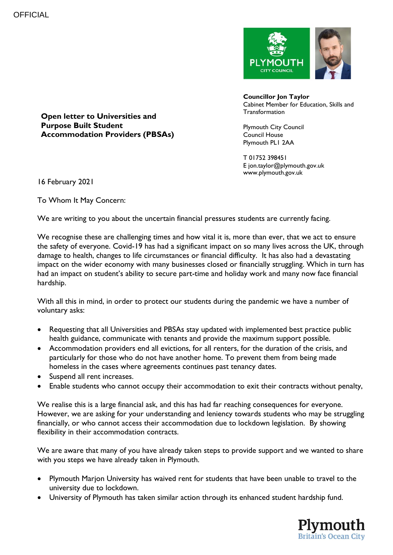

**Councillor Jon Taylor** Cabinet Member for Education, Skills and **Transformation** 

Plymouth City Council Council House Plymouth PL1 2AA

T 01752 398451 E jon.taylor@plymouth.gov.uk www.plymouth.gov.uk

**Open letter to Universities and Purpose Built Student Accommodation Providers (PBSAs)**

16 February 2021

To Whom It May Concern:

We are writing to you about the uncertain financial pressures students are currently facing.

We recognise these are challenging times and how vital it is, more than ever, that we act to ensure the safety of everyone. Covid-19 has had a significant impact on so many lives across the UK, through damage to health, changes to life circumstances or financial difficulty. It has also had a devastating impact on the wider economy with many businesses closed or financially struggling. Which in turn has had an impact on student's ability to secure part-time and holiday work and many now face financial hardship.

With all this in mind, in order to protect our students during the pandemic we have a number of voluntary asks:

- Requesting that all Universities and PBSAs stay updated with implemented best practice public health guidance, communicate with tenants and provide the maximum support possible.
- Accommodation providers end all evictions, for all renters, for the duration of the crisis, and particularly for those who do not have another home. To prevent them from being made homeless in the cases where agreements continues past tenancy dates.
- Suspend all rent increases.
- Enable students who cannot occupy their accommodation to exit their contracts without penalty,

We realise this is a large financial ask, and this has had far reaching consequences for everyone. However, we are asking for your understanding and leniency towards students who may be struggling financially, or who cannot access their accommodation due to lockdown legislation. By showing flexibility in their accommodation contracts.

We are aware that many of you have already taken steps to provide support and we wanted to share with you steps we have already taken in Plymouth.

- Plymouth Marjon University has waived rent for students that have been unable to travel to the university due to lockdown.
- University of Plymouth has taken similar action through its enhanced student hardship fund.